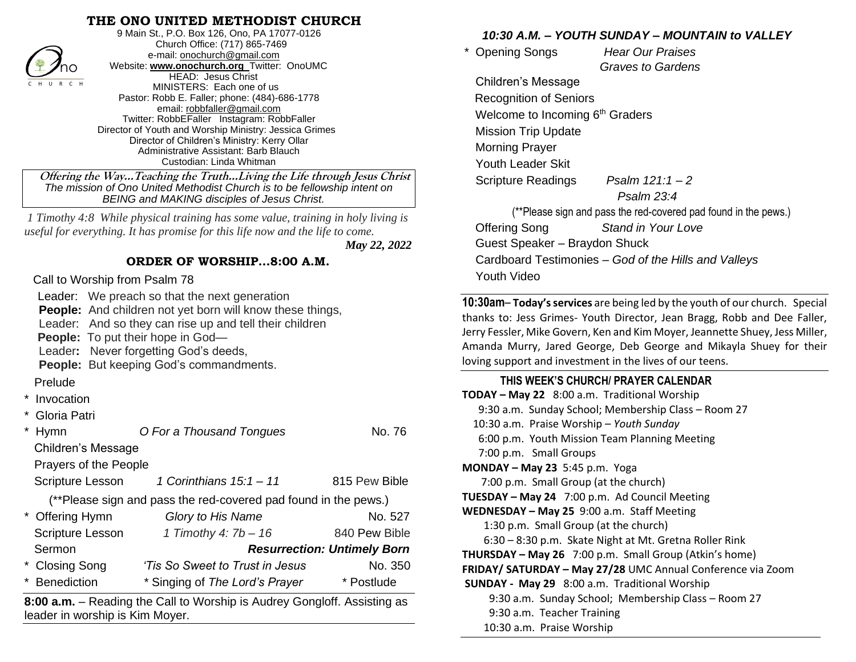#### **THE ONO UNITED METHODIST CHURCH**



9 Main St., P.O. Box 126, Ono, PA 17077-0126 Church Office: (717) 865-7469 e-mail[: onochurch@gmail.com](mailto:onochurch@gmail.com) Website: **[www.onochurch.org](http://www.onochurch.org/)** Twitter: OnoUMC HEAD: Jesus Christ MINISTERS: Each one of us Pastor: Robb E. Faller; phone: (484)-686-1778 email: [robbfaller@gmail.com](mailto:robbfaller@gmail.com) Twitter: RobbEFaller Instagram: RobbFaller Director of Youth and Worship Ministry: Jessica Grimes Director of Children's Ministry: Kerry Ollar Administrative Assistant: Barb Blauch Custodian: Linda Whitman

#### **ORDER OF WORSHIP…8:00 A.M.**

- Prelude
- **Invocation**
- Gloria Patri

| ∕no                                                                                   | Website: www.onochurch.org   Witter: OnoUMC |               | Gray                                                         |  |
|---------------------------------------------------------------------------------------|---------------------------------------------|---------------|--------------------------------------------------------------|--|
| HEAD: Jesus Christ<br>C H U R C H<br>MINISTERS: Each one of us                        |                                             |               | <b>Children's Message</b>                                    |  |
| Pastor: Robb E. Faller; phone: (484)-686-1778                                         |                                             |               | <b>Recognition of Seniors</b>                                |  |
| email: robbfaller@gmail.com<br>Twitter: RobbEFaller Instagram: RobbFaller             |                                             |               | Welcome to Incoming 6th Gr                                   |  |
| Director of Youth and Worship Ministry: Jessica Grimes                                |                                             |               | <b>Mission Trip Update</b>                                   |  |
| Director of Children's Ministry: Kerry Ollar<br>Administrative Assistant: Barb Blauch |                                             |               | <b>Morning Prayer</b>                                        |  |
| Custodian: Linda Whitman                                                              |                                             |               | <b>Youth Leader Skit</b>                                     |  |
| Offering the WayTeaching the TruthLiving the Life through Jesus Christ                |                                             |               | <b>Scripture Readings</b><br>Psa                             |  |
| The mission of Ono United Methodist Church is to be fellowship intent on              |                                             |               | F                                                            |  |
| <b>BEING and MAKING disciples of Jesus Christ.</b>                                    |                                             |               | (**Please sign and pass th                                   |  |
| 1 Timothy 4:8 While physical training has some value, training in holy living is      |                                             |               | <b>Offering Song</b><br>Star                                 |  |
| useful for everything. It has promise for this life now and the life to come.         |                                             |               | Guest Speaker - Braydon S                                    |  |
| May 22, 2022                                                                          |                                             |               | Cardboard Testimonies - G                                    |  |
| ORDER OF WORSHIP8:00 A.M.                                                             |                                             |               |                                                              |  |
| Call to Worship from Psalm 78                                                         |                                             |               | Youth Video                                                  |  |
| Leader: We preach so that the next generation                                         |                                             |               | 10:30am-Today's services are be                              |  |
| <b>People:</b> And children not yet born will know these things,                      |                                             |               | thanks to: Jess Grimes- Youth Di                             |  |
| Leader: And so they can rise up and tell their children                               |                                             |               | Jerry Fessler, Mike Govern, Ken an                           |  |
| <b>People:</b> To put their hope in God-<br>Leader: Never forgetting God's deeds,     |                                             |               | Amanda Murry, Jared George, I                                |  |
| <b>People:</b> But keeping God's commandments.                                        |                                             |               | loving support and investment in                             |  |
| Prelude                                                                               |                                             |               | THIS WEEK'S CHURCH/ PI                                       |  |
| Invocation                                                                            |                                             |               | TODAY - May 22 8:00 a.m. Trac                                |  |
| Gloria Patri                                                                          |                                             |               | 9:30 a.m. Sunday School; Mer                                 |  |
| * Hymn                                                                                | O For a Thousand Tongues                    | No. 76        | 10:30 a.m. Praise Worship - Yo                               |  |
| Children's Message                                                                    |                                             |               | 6:00 p.m. Youth Mission Tean                                 |  |
| Prayers of the People                                                                 |                                             |               | 7:00 p.m. Small Groups                                       |  |
|                                                                                       | 1 Corinthians $15:1 - 11$                   | 815 Pew Bible | <b>MONDAY - May 23</b> 5:45 p.m. Yo                          |  |
| Scripture Lesson                                                                      |                                             |               | 7:00 p.m. Small Group (at the                                |  |
| (**Please sign and pass the red-covered pad found in the pews.)                       |                                             |               | TUESDAY - May 24 7:00 p.m. A<br>WEDNESDAY - May 25 9:00 a.m. |  |
| * Offering Hymn                                                                       | Glory to His Name                           | No. 527       | 1:30 p.m. Small Group (at th                                 |  |
| Scripture Lesson                                                                      | 1 Timothy 4: 7b - 16                        | 840 Pew Bible | 6:30 - 8:30 p.m. Skate Night                                 |  |
| <b>Resurrection: Untimely Born</b><br>Sermon                                          |                                             |               | THURSDAY - May 26 $7:00$ p.m.                                |  |
| <b>Closing Song</b>                                                                   | 'Tis So Sweet to Trust in Jesus             | No. 350       | FRIDAY/ SATURDAY - May 27/28                                 |  |
| <b>Benediction</b>                                                                    | * Singing of The Lord's Prayer              | * Postlude    | <b>SUNDAY - May 29</b> 8:00 a.m. Tr                          |  |
| 8:00 a.m. - Reading the Call to Worship is Audrey Gongloff. Assisting as              |                                             |               | 9:30 a.m. Sunday School; N                                   |  |
| leader in worship is Kim Moyer.                                                       |                                             |               | 9:30 a.m. Teacher Training                                   |  |
|                                                                                       |                                             |               | 10:30 a.m. Praise Worship                                    |  |

## *10:30 A.M. – YOUTH SUNDAY – MOUNTAIN to VALLEY*

 \* Opening Songs *Hear Our Praises Graves to Gardens*  Children's Message Recognition of Seniors Welcome to Incoming 6<sup>th</sup> Graders Mission Trip Update Morning Prayer Youth Leader Skit Scripture Readings *Psalm 121:1 – 2 Psalm 23:4* (\*\*Please sign and pass the red-covered pad found in the pews.) Offering Song *Stand in Your Love*

 Guest Speaker – Braydon Shuck Cardboard Testimonies – *God of the Hills and Valleys* Youth Video

**10:30am**– **Today's services** are being led by the youth of our church. Special thanks to: Jess Grimes- Youth Director, Jean Bragg, Robb and Dee Faller, Jerry Fessler, Mike Govern, Ken and Kim Moyer, Jeannette Shuey, Jess Miller, Amanda Murry, Jared George, Deb George and Mikayla Shuey for their loving support and investment in the lives of our teens.

#### **THIS WEEK'S CHURCH/ PRAYER CALENDAR**

**TODAY – May 22** 8:00 a.m. Traditional Worship 9:30 a.m. Sunday School; Membership Class – Room 27 10:30 a.m. Praise Worship – *Youth Sunday* 6:00 p.m. Youth Mission Team Planning Meeting 7:00 p.m. Small Groups **MONDAY – May 23** 5:45 p.m. Yoga 7:00 p.m. Small Group (at the church) **TUESDAY – May 24** 7:00 p.m. Ad Council Meeting **WEDNESDAY – May 25** 9:00 a.m. Staff Meeting 1:30 p.m. Small Group (at the church) 6:30 – 8:30 p.m. Skate Night at Mt. Gretna Roller Rink **THURSDAY – May 26** 7:00 p.m. Small Group (Atkin's home) **FRIDAY/ SATURDAY – May 27/28** UMC Annual Conference via Zoom **SUNDAY - May 29** 8:00 a.m. Traditional Worship 9:30 a.m. Sunday School; Membership Class – Room 27 9:30 a.m. Teacher Training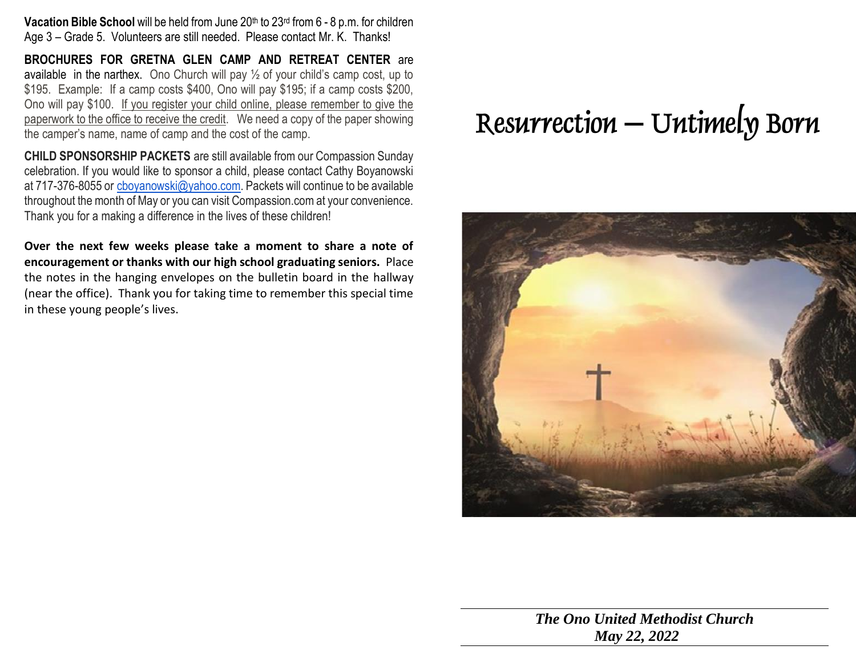**Vacation Bible School** will be held from June 20<sup>th</sup> to 23<sup>rd</sup> from 6 - 8 p.m. for children Age 3 – Grade 5. Volunteers are still needed. Please contact Mr. K. Thanks!

**BROCHURES FOR GRETNA GLEN CAMP AND RETREAT CENTER** are available in the narthex. Ono Church will pay  $\frac{1}{2}$  of your child's camp cost, up to \$195. Example: If a camp costs \$400, Ono will pay \$195; if a camp costs \$200, Ono will pay \$100. If you register your child online, please remember to give the paperwork to the office to receive the credit. We need a copy of the paper showing the camper's name, name of camp and the cost of the camp.

**CHILD SPONSORSHIP PACKETS** are still available from our Compassion Sunday celebration. If you would like to sponsor a child, please contact Cathy Boyanowski at 717-376-8055 or [cboyanowski@yahoo.com.](mailto:cboyanowski@yahoo.com) Packets will continue to be available throughout the month of May or you can visit Compassion.com at your convenience. Thank you for a making a difference in the lives of these children!

**Over the next few weeks please take a moment to share a note of encouragement or thanks with our high school graduating seniors.** Place the notes in the hanging envelopes on the bulletin board in the hallway (near the office). Thank you for taking time to remember this special time in these young people's lives.

## **Resurrection – Untimely Born**



*The Ono United Methodist Church May 22, 2022*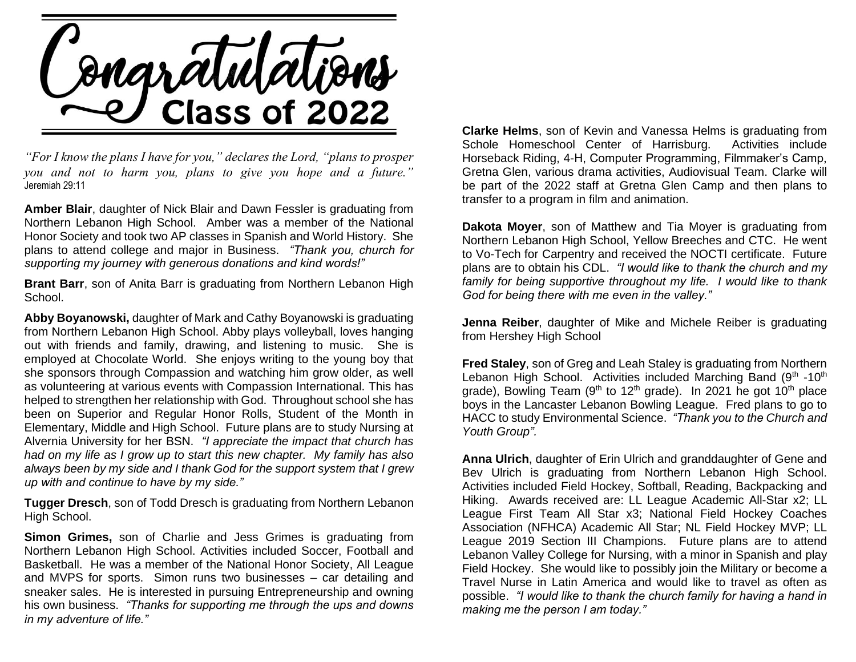

*"For I know the plans I have for you," declares the Lord, "plans to prosper you and not to harm you, plans to give you hope and a future."*  Jeremiah 29:11

**Amber Blair**, daughter of Nick Blair and Dawn Fessler is graduating from Northern Lebanon High School. Amber was a member of the National Honor Society and took two AP classes in Spanish and World History. She plans to attend college and major in Business. *"Thank you, church for supporting my journey with generous donations and kind words!"*

**Brant Barr**, son of Anita Barr is graduating from Northern Lebanon High School.

**Abby Boyanowski,** daughter of Mark and Cathy Boyanowski is graduating from Northern Lebanon High School. Abby plays volleyball, loves hanging out with friends and family, drawing, and listening to music. She is employed at Chocolate World. She enjoys writing to the young boy that she sponsors through Compassion and watching him grow older, as well as volunteering at various events with Compassion International. This has helped to strengthen her relationship with God. Throughout school she has been on Superior and Regular Honor Rolls, Student of the Month in Elementary, Middle and High School. Future plans are to study Nursing at Alvernia University for her BSN. *"I appreciate the impact that church has had on my life as I grow up to start this new chapter. My family has also always been by my side and I thank God for the support system that I grew up with and continue to have by my side."*

**Tugger Dresch**, son of Todd Dresch is graduating from Northern Lebanon High School.

**Simon Grimes,** son of Charlie and Jess Grimes is graduating from Northern Lebanon High School. Activities included Soccer, Football and Basketball. He was a member of the National Honor Society, All League and MVPS for sports. Simon runs two businesses – car detailing and sneaker sales. He is interested in pursuing Entrepreneurship and owning his own business. *"Thanks for supporting me through the ups and downs in my adventure of life."*

**Clarke Helms**, son of Kevin and Vanessa Helms is graduating from Schole Homeschool Center of Harrisburg. Activities include Horseback Riding, 4-H, Computer Programming, Filmmaker's Camp, Gretna Glen, various drama activities, Audiovisual Team. Clarke will be part of the 2022 staff at Gretna Glen Camp and then plans to transfer to a program in film and animation.

**Dakota Moyer**, son of Matthew and Tia Moyer is graduating from Northern Lebanon High School, Yellow Breeches and CTC. He went to Vo-Tech for Carpentry and received the NOCTI certificate. Future plans are to obtain his CDL. *"I would like to thank the church and my family for being supportive throughout my life. I would like to thank God for being there with me even in the valley."*

**Jenna Reiber**, daughter of Mike and Michele Reiber is graduating from Hershey High School

**Fred Staley**, son of Greg and Leah Staley is graduating from Northern Lebanon High School. Activities included Marching Band (9<sup>th</sup> -10<sup>th</sup> grade), Bowling Team  $(9<sup>th</sup>$  to 12<sup>th</sup> grade). In 2021 he got 10<sup>th</sup> place boys in the Lancaster Lebanon Bowling League. Fred plans to go to HACC to study Environmental Science. *"Thank you to the Church and Youth Group".*

**Anna Ulrich**, daughter of Erin Ulrich and granddaughter of Gene and Bev Ulrich is graduating from Northern Lebanon High School. Activities included Field Hockey, Softball, Reading, Backpacking and Hiking. Awards received are: LL League Academic All-Star x2; LL League First Team All Star x3; National Field Hockey Coaches Association (NFHCA) Academic All Star; NL Field Hockey MVP; LL League 2019 Section III Champions. Future plans are to attend Lebanon Valley College for Nursing, with a minor in Spanish and play Field Hockey. She would like to possibly join the Military or become a Travel Nurse in Latin America and would like to travel as often as possible. *"I would like to thank the church family for having a hand in making me the person I am today."*